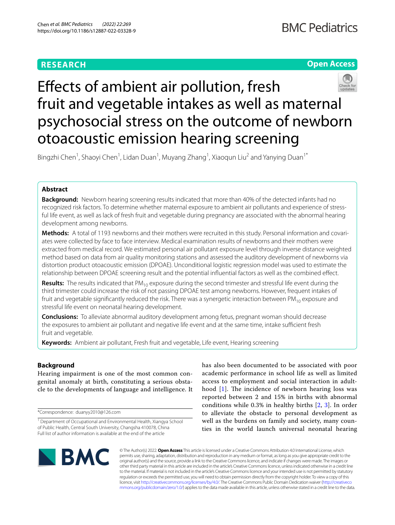# **RESEARCH**

# **Open Access**



# Efects of ambient air pollution, fresh fruit and vegetable intakes as well as maternal psychosocial stress on the outcome of newborn otoacoustic emission hearing screening

Bingzhi Chen<sup>1</sup>, Shaoyi Chen<sup>1</sup>, Lidan Duan<sup>1</sup>, Muyang Zhang<sup>1</sup>, Xiaoqun Liu<sup>2</sup> and Yanying Duan<sup>1\*</sup>

# **Abstract**

**Background:** Newborn hearing screening results indicated that more than 40% of the detected infants had no recognized risk factors. To determine whether maternal exposure to ambient air pollutants and experience of stressful life event, as well as lack of fresh fruit and vegetable during pregnancy are associated with the abnormal hearing development among newborns.

**Methods:** A total of 1193 newborns and their mothers were recruited in this study. Personal information and covariates were collected by face to face interview. Medical examination results of newborns and their mothers were extracted from medical record. We estimated personal air pollutant exposure level through inverse distance weighted method based on data from air quality monitoring stations and assessed the auditory development of newborns via distortion product otoacoustic emission (DPOAE). Unconditional logistic regression model was used to estimate the relationship between DPOAE screening result and the potential infuential factors as well as the combined efect.

Results: The results indicated that PM<sub>10</sub> exposure during the second trimester and stressful life event during the third trimester could increase the risk of not passing DPOAE test among newborns. However, frequent intakes of fruit and vegetable significantly reduced the risk. There was a synergetic interaction between  $PM_{10}$  exposure and stressful life event on neonatal hearing development.

**Conclusions:** To alleviate abnormal auditory development among fetus, pregnant woman should decrease the exposures to ambient air pollutant and negative life event and at the same time, intake sufficient fresh fruit and vegetable.

**Keywords:** Ambient air pollutant, Fresh fruit and vegetable, Life event, Hearing screening

# **Background**

Hearing impairment is one of the most common congenital anomaly at birth, constituting a serious obstacle to the developments of language and intelligence. It

\*Correspondence: duanyy2010@126.com

has also been documented to be associated with poor academic performance in school life as well as limited access to employment and social interaction in adulthood  $[1]$  $[1]$ . The incidence of newborn hearing loss was reported between 2 and 15% in births with abnormal conditions while 0.3% in healthy births [[2,](#page-9-1) [3](#page-9-2)]. In order to alleviate the obstacle to personal development as well as the burdens on family and society, many counties in the world launch universal neonatal hearing



© The Author(s) 2022. **Open Access** This article is licensed under a Creative Commons Attribution 4.0 International License, which permits use, sharing, adaptation, distribution and reproduction in any medium or format, as long as you give appropriate credit to the original author(s) and the source, provide a link to the Creative Commons licence, and indicate if changes were made. The images or other third party material in this article are included in the article's Creative Commons licence, unless indicated otherwise in a credit line to the material. If material is not included in the article's Creative Commons licence and your intended use is not permitted by statutory regulation or exceeds the permitted use, you will need to obtain permission directly from the copyright holder. To view a copy of this licence, visit [http://creativecommons.org/licenses/by/4.0/.](http://creativecommons.org/licenses/by/4.0/) The Creative Commons Public Domain Dedication waiver ([http://creativeco](http://creativecommons.org/publicdomain/zero/1.0/) [mmons.org/publicdomain/zero/1.0/](http://creativecommons.org/publicdomain/zero/1.0/)) applies to the data made available in this article, unless otherwise stated in a credit line to the data.

<sup>&</sup>lt;sup>1</sup> Department of Occupational and Environmental Health, Xiangya School of Public Health, Central South University, Changsha 410078, China Full list of author information is available at the end of the article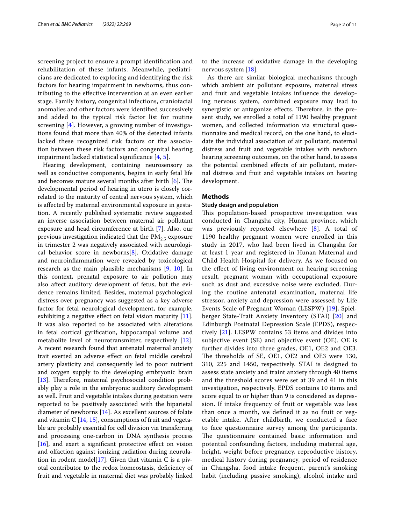screening project to ensure a prompt identifcation and rehabilitation of these infants. Meanwhile, pediatricians are dedicated to exploring and identifying the risk factors for hearing impairment in newborns, thus contributing to the efective intervention at an even earlier stage. Family history, congenital infections, craniofacial anomalies and other factors were identifed successively and added to the typical risk factor list for routine screening [\[4](#page-9-3)]. However, a growing number of investigations found that more than 40% of the detected infants lacked these recognized risk factors or the association between these risk factors and congenital hearing impairment lacked statistical signifcance [[4](#page-9-3), [5](#page-9-4)].

Hearing development, containing neurosensory as well as conductive components, begins in early fetal life and becomes mature several months after birth  $[6]$  $[6]$  $[6]$ . The developmental period of hearing in utero is closely correlated to the maturity of central nervous system, which is afected by maternal environmental exposure in gestation. A recently published systematic review suggested an inverse association between maternal air pollutant exposure and head circumference at birth [\[7](#page-9-6)]. Also, our previous investigation indicated that the  $PM<sub>2.5</sub>$  exposure in trimester 2 was negatively associated with neurological behavior score in newborns[\[8](#page-9-7)]. Oxidative damage and neuroinfammation were revealed by toxicological research as the main plausible mechanisms [[9](#page-9-8), [10\]](#page-9-9). In this context, prenatal exposure to air pollution may also afect auditory development of fetus, but the evidence remains limited. Besides, maternal psychological distress over pregnancy was suggested as a key adverse factor for fetal neurological development, for example, exhibiting a negative effect on fetal vision maturity  $[11]$  $[11]$ . It was also reported to be associated with alterations in fetal cortical gyrifcation, hippocampal volume and metabolite level of neurotransmitter, respectively [\[12](#page-9-11)]. A recent research found that antenatal maternal anxiety trait exerted an adverse efect on fetal middle cerebral artery plasticity and consequently led to poor nutrient and oxygen supply to the developing embryonic brain [[13\]](#page-9-12). Therefore, maternal psychosocial condition probably play a role in the embryonic auditory development as well. Fruit and vegetable intakes during gestation were reported to be positively associated with the biparietal diameter of newborns [\[14](#page-9-13)]. As excellent sources of folate and vitamin C  $[14, 15]$  $[14, 15]$  $[14, 15]$ , consumptions of fruit and vegetable are probably essential for cell division via transferring and processing one-carbon in DNA synthesis process [[16\]](#page-9-15), and exert a significant protective effect on vision and olfaction against ionizing radiation during neurula-tion in rodent model[\[17\]](#page-9-16). Given that vitamin C is a pivotal contributor to the redox homeostasis, defciency of fruit and vegetable in maternal diet was probably linked to the increase of oxidative damage in the developing nervous system [\[18](#page-9-17)].

As there are similar biological mechanisms through which ambient air pollutant exposure, maternal stress and fruit and vegetable intakes infuence the developing nervous system, combined exposure may lead to synergistic or antagonize effects. Therefore, in the present study, we enrolled a total of 1190 healthy pregnant women, and collected information via structural questionnaire and medical record, on the one hand, to elucidate the individual association of air pollutant, maternal distress and fruit and vegetable intakes with newborn hearing screening outcomes, on the other hand, to assess the potential combined efects of air pollutant, maternal distress and fruit and vegetable intakes on hearing development.

## **Methods**

# **Study design and population**

This population-based prospective investigation was conducted in Changsha city, Hunan province, which was previously reported elsewhere [[8\]](#page-9-7). A total of 1190 healthy pregnant women were enrolled in this study in 2017, who had been lived in Changsha for at least 1 year and registered in Hunan Maternal and Child Health Hospital for delivery. As we focused on the efect of living environment on hearing screening result, pregnant woman with occupational exposure such as dust and excessive noise were excluded. During the routine antenatal examination, maternal life stressor, anxiety and depression were assessed by Life Events Scale of Pregnant Woman (LESPW) [[19\]](#page-9-18), Spielberger State-Trait Anxiety Inventory (STAI) [\[20](#page-9-19)] and Edinburgh Postnatal Depression Scale (EPDS), respectively [\[21](#page-9-20)]. LESPW contains 53 items and divides into subjective event (SE) and objective event (OE). OE is further divides into three grades, OE1, OE2 and OE3. The thresholds of SE, OE1, OE2 and OE3 were 130, 310, 225 and 1450, respectively. STAI is designed to assess state anxiety and traint anxiety through 40 items and the threshold scores were set at 39 and 41 in this investigation, respectively. EPDS contains 10 items and score equal to or higher than 9 is considered as depression. If intake frequency of fruit or vegetable was less than once a month, we defned it as no fruit or vegetable intake**.** After childbirth, we conducted a face to face questionnaire survey among the participants. The questionnaire contained basic information and potential confounding factors, including maternal age, height, weight before pregnancy, reproductive history, medical history during pregnancy, period of residence in Changsha, food intake frequent, parent's smoking habit (including passive smoking), alcohol intake and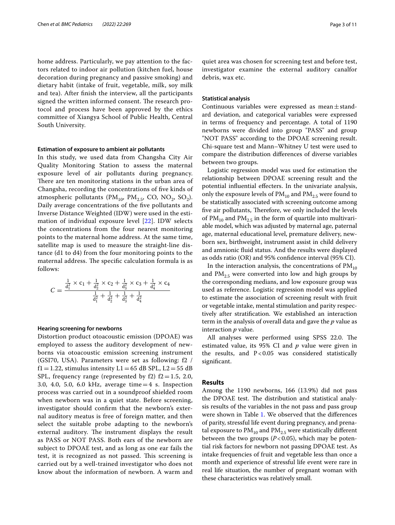home address. Particularly, we pay attention to the factors related to indoor air pollution (kitchen fuel, house decoration during pregnancy and passive smoking) and dietary habit (intake of fruit, vegetable, milk, soy milk and tea). After fnish the interview, all the participants signed the written informed consent. The research protocol and process have been approved by the ethics committee of Xiangya School of Public Health, Central South University.

#### **Estimation of exposure to ambient air pollutants**

In this study, we used data from Changsha City Air Quality Monitoring Station to assess the maternal exposure level of air pollutants during pregnancy. There are ten monitoring stations in the urban area of Changsha, recording the concentrations of fve kinds of atmospheric pollutants ( $PM_{10}$ ,  $PM_{2.5}$ , CO, NO<sub>2</sub>, SO<sub>2</sub>). Daily average concentrations of the fve pollutants and Inverse Distance Weighted (IDW) were used in the estimation of individual exposure level [[22](#page-9-21)]. IDW selects the concentrations from the four nearest monitoring points to the maternal home address. At the same time, satellite map is used to measure the straight-line distance (d1 to d4) from the four monitoring points to the maternal address. The specific calculation formula is as follows:

$$
C = \frac{\frac{1}{d_1^2} \times c_1 + \frac{1}{d_2^2} \times c_2 + \frac{1}{d_3^2} \times c_3 + \frac{1}{d_4^2} \times c_4}{\frac{1}{d_1^2} + \frac{1}{d_2^2} + \frac{1}{d_3^2} + \frac{1}{d_4^2}}
$$

## **Hearing screening for newborns**

Distortion product otoacoustic emission (DPOAE) was employed to assess the auditory development of newborns via otoacoustic emission screening instrument (GSI70, USA). Parameters were set as following: f2 /  $f1=1.22$ , stimulus intensity  $L1=65$  dB SPL,  $L2=55$  dB SPL, frequency range (represented by f2)  $f2 = 1.5$ , 2.0, 3.0, 4.0, 5.0, 6.0 kHz, average time $=4$  s. Inspection process was carried out in a soundproof shielded room when newborn was in a quiet state. Before screening, investigator should confrm that the newborn's external auditory meatus is free of foreign matter, and then select the suitable probe adapting to the newborn's external auditory. The instrument displays the result as PASS or NOT PASS. Both ears of the newborn are subject to DPOAE test, and as long as one ear fails the test, it is recognized as not passed. This screening is carried out by a well-trained investigator who does not know about the information of newborn. A warm and

quiet area was chosen for screening test and before test, investigator examine the external auditory canalfor debris, wax etc.

# **Statistical analysis**

Continuous variables were expressed as mean $\pm$ standard deviation, and categorical variables were expressed in terms of frequency and percentage. A total of 1190 newborns were divided into group "PASS" and group "NOT PASS" according to the DPOAE screening result. Chi-square test and Mann–Whitney U test were used to compare the distribution diferences of diverse variables between two groups.

Logistic regression model was used for estimation the relationship between DPOAE screening result and the potential infuential efecters. In the univariate analysis, only the exposure levels of  $PM_{10}$  and  $PM_{2.5}$  were found to be statistically associated with screening outcome among five air pollutants, Therefore, we only included the levels of  $PM_{10}$  and  $PM_{2.5}$  in the form of quartile into multivariable model, which was adjusted by maternal age, paternal age, maternal educational level, premature delivery, newborn sex, birthweight, instrument assist in child delivery and amnionic fuid status. And the results were displayed as odds ratio (OR) and 95% confdence interval (95% CI).

In the interaction analysis, the concentrations of  $PM_{10}$ and  $PM_{2.5}$  were converted into low and high groups by the corresponding medians, and low exposure group was used as reference. Logistic regression model was applied to estimate the association of screening result with fruit or vegetable intake, mental stimulation and parity respectively after stratifcation. We established an interaction term in the analysis of overall data and gave the *p* value as interaction *p* value.

All analyses were performed using SPSS 22.0. The estimated value, its 95% CI and *p* value were given in the results, and P<0.05 was considered statistically signifcant.

# **Results**

Among the 1190 newborns, 166 (13.9%) did not pass the DPOAE test. The distribution and statistical analysis results of the variables in the not pass and pass group were shown in Table [1.](#page-3-0) We observed that the diferences of parity, stressful life event during pregnancy, and prenatal exposure to  $PM_{10}$  and  $PM_{2.5}$  were statistically different between the two groups  $(P<0.05)$ , which may be potential risk factors for newborn not passing DPOAE test. As intake frequencies of fruit and vegetable less than once a month and experience of stressful life event were rare in real life situation, the number of pregnant woman with these characteristics was relatively small.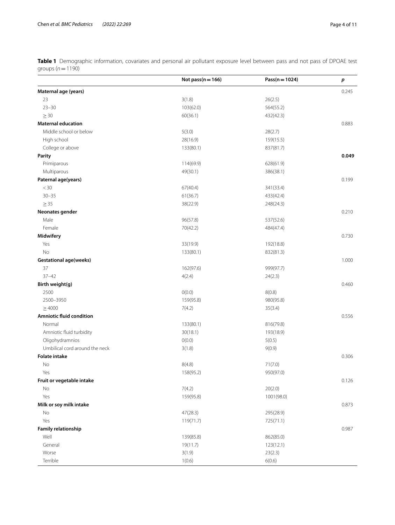<span id="page-3-0"></span>**Table 1** Demographic information, covariates and personal air pollutant exposure level between pass and not pass of DPOAE test groups (*n*=1190)

|                                 | Not pass( $n = 166$ ) | $Pass(n = 1024)$ | р     |
|---------------------------------|-----------------------|------------------|-------|
| Maternal age (years)            |                       |                  | 0.245 |
| 23                              | 3(1.8)                | 26(2.5)          |       |
| $23 - 30$                       | 103(62.0)             | 564(55.2)        |       |
| $\geq 30$                       | 60(36.1)              | 432(42.3)        |       |
| <b>Maternal education</b>       |                       |                  | 0.883 |
| Middle school or below          | 5(3.0)                | 28(2.7)          |       |
| High school                     | 28(16.9)              | 159(15.5)        |       |
| College or above                | 133(80.1)             | 837(81.7)        |       |
| Parity                          |                       |                  | 0.049 |
| Primiparous                     | 114(69.9)             | 628(61.9)        |       |
| Multiparous                     | 49(30.1)              | 386(38.1)        |       |
| Paternal age(years)             |                       |                  | 0.199 |
| $<$ 30                          | 67(40.4)              | 341(33.4)        |       |
| $30 - 35$                       | 61(36.7)              | 433(42.4)        |       |
| $\geq$ 35                       | 38(22.9)              | 248(24.3)        |       |
| Neonates gender                 |                       |                  | 0.210 |
| Male                            | 96(57.8)              | 537(52.6)        |       |
| Female                          | 70(42.2)              | 484(47.4)        |       |
| Midwifery                       |                       |                  | 0.730 |
| Yes                             | 33(19.9)              | 192(18.8)        |       |
| <b>No</b>                       | 133(80.1)             | 832(81.3)        |       |
| <b>Gestational age(weeks)</b>   |                       |                  | 1.000 |
| 37                              | 162(97.6)             | 999(97.7)        |       |
| $37 - 42$                       | 4(2.4)                | 24(2.3)          |       |
| Birth weight(g)                 |                       |                  | 0.460 |
| 2500                            | O(0.0)                | 8(0.8)           |       |
| 2500-3950                       | 159(95.8)             | 980(95.8)        |       |
| $\geq 4000$                     |                       |                  |       |
| <b>Amniotic fluid condition</b> | 7(4.2)                | 35(3.4)          | 0.556 |
| Normal                          |                       |                  |       |
|                                 | 133(80.1)             | 816(79.8)        |       |
| Amniotic fluid turbidity        | 30(18.1)              | 193(18.9)        |       |
| Oligohydramnios                 | O(0.0)                | 5(0.5)           |       |
| Umbilical cord around the neck  | 3(1.8)                | 9(0.9)           |       |
| <b>Folate intake</b>            |                       |                  | 0.306 |
| No                              | 8(4.8)                | 71(7.0)          |       |
| Yes                             | 158(95.2)             | 950(97.0)        |       |
| Fruit or vegetable intake       |                       |                  | 0.126 |
| No                              | 7(4.2)                | 20(2.0)          |       |
| Yes                             | 159(95.8)             | 1001(98.0)       |       |
| Milk or soy milk intake         |                       |                  | 0.873 |
| No                              | 47(28.3)              | 295(28.9)        |       |
| Yes                             | 119(71.7)             | 725(71.1)        |       |
| <b>Family relationship</b>      |                       |                  | 0.987 |
| Well                            | 139(85.8)             | 862(85.0)        |       |
| General                         | 19(11.7)              | 123(12.1)        |       |
| Worse                           | 3(1.9)                | 23(2.3)          |       |
| Terrible                        | 1(0.6)                | 6(0.6)           |       |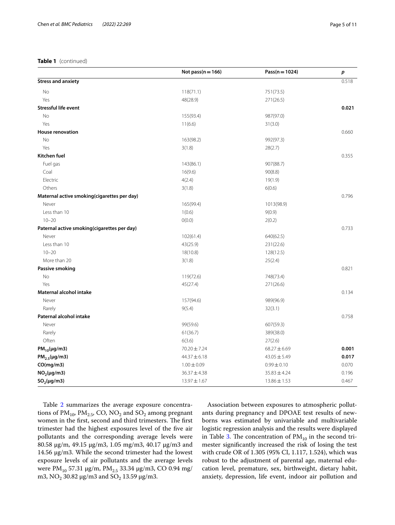# **Table 1** (continued)

|                                             | Not pass( $n = 166$ ) | Pass( $n = 1024$ ) | p     |
|---------------------------------------------|-----------------------|--------------------|-------|
| <b>Stress and anxiety</b>                   |                       |                    | 0.518 |
| No                                          | 118(71.1)             | 751(73.5)          |       |
| Yes                                         | 48(28.9)              | 271(26.5)          |       |
| <b>Stressful life event</b>                 |                       |                    | 0.021 |
| <b>No</b>                                   | 155(93.4)             | 987(97.0)          |       |
| Yes                                         | 11(6.6)               | 31(3.0)            |       |
| <b>House renovation</b>                     |                       |                    | 0.660 |
| No                                          | 163(98.2)             | 992(97.3)          |       |
| Yes                                         | 3(1.8)                | 28(2.7)            |       |
| <b>Kitchen fuel</b>                         |                       |                    | 0.355 |
| Fuel gas                                    | 143(86.1)             | 907(88.7)          |       |
| Coal                                        | 16(9.6)               | 90(8.8)            |       |
| Electric                                    | 4(2.4)                | 19(1.9)            |       |
| Others                                      | 3(1.8)                | 6(0.6)             |       |
| Maternal active smoking(cigarettes per day) |                       |                    | 0.796 |
| Never                                       | 165(99.4)             | 1013(98.9)         |       |
| Less than 10                                | 1(0.6)                | 9(0.9)             |       |
| $10 - 20$                                   | O(0.0)                | 2(0.2)             |       |
| Paternal active smoking(cigarettes per day) |                       |                    | 0.733 |
| Never                                       | 102(61.4)             | 640(62.5)          |       |
| Less than 10                                | 43(25.9)              | 231(22.6)          |       |
| $10 - 20$                                   | 18(10.8)              | 128(12.5)          |       |
| More than 20                                | 3(1.8)                | 25(2.4)            |       |
| Passive smoking                             |                       |                    | 0.821 |
| No                                          | 119(72.6)             | 748(73.4)          |       |
| Yes                                         | 45(27.4)              | 271(26.6)          |       |
| Maternal alcohol intake                     |                       |                    | 0.134 |
| Never                                       | 157(94.6)             | 989(96.9)          |       |
| Rarely                                      | 9(5.4)                | 32(3.1)            |       |
| Paternal alcohol intake                     |                       |                    | 0.758 |
| Never                                       | 99(59.6)              | 607(59.3)          |       |
| Rarely                                      | 61(36.7)              | 389(38.0)          |       |
| Often                                       | 6(3.6)                | 27(2.6)            |       |
| $PM_{10}(\mu g/m3)$                         | 70.20 ± 7.24          | $68.27 \pm 6.69$   | 0.001 |
| $PM_{2.5}(\mu g/m3)$                        | $44.37 \pm 6.18$      | $43.05 \pm 5.49$   | 0.017 |
| CO(mg/m3)                                   | $1.00 \pm 0.09$       | $0.99 \pm 0.10$    | 0.070 |
| NO <sub>2</sub> (µg/m3)                     | $36.37 \pm 4.38$      | $35.83 \pm 4.24$   | 0.196 |
| $SO_2(\mu g/m3)$                            | $13.97 \pm 1.67$      | $13.86 \pm 1.53$   | 0.467 |

Table [2](#page-5-0) summarizes the average exposure concentrations of  $PM_{10}$ ,  $PM_{2.5}$ , CO, NO<sub>2</sub> and SO<sub>2</sub> among pregnant women in the first, second and third trimesters. The first trimester had the highest exposures level of the fve air pollutants and the corresponding average levels were 80.58 μg/m, 49.15 μg/m3, 1.05 mg/m3, 40.17 μg/m3 and 14.56 μg/m3. While the second trimester had the lowest exposure levels of air pollutants and the average levels were PM<sub>10</sub> 57.31 μg/m, PM<sub>2.5</sub> 33.34 μg/m3, CO 0.94 mg/ m3, NO<sub>2</sub> 30.82 μg/m3 and SO<sub>2</sub> 13.59 μg/m3.

Association between exposures to atmospheric pollutants during pregnancy and DPOAE test results of newborns was estimated by univariable and multivariable logistic regression analysis and the results were displayed in Table [3](#page-5-1). The concentration of  $PM_{10}$  in the second trimester signifcantly increased the risk of losing the test with crude OR of 1.305 (95% CI, 1.117, 1.524), which was robust to the adjustment of parental age, maternal education level, premature, sex, birthweight, dietary habit, anxiety, depression, life event, indoor air pollution and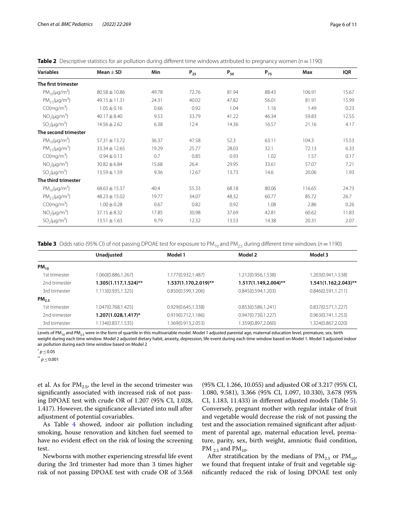| <b>Variables</b>       | Mean $\pm$ SD     | Min   | $P_{25}$ | $P_{50}$ | $P_{75}$ | Max    | <b>IQR</b> |
|------------------------|-------------------|-------|----------|----------|----------|--------|------------|
| The first trimester    |                   |       |          |          |          |        |            |
| $PM_{10}(\mu g/m^3)$   | $80.58 \pm 10.86$ | 49.78 | 72.76    | 81.94    | 88.43    | 106.91 | 15.67      |
| $PM_{25}(\mu g/m^3)$   | 49.15 ± 11.31     | 24.31 | 40.02    | 47.82    | 56.01    | 81.91  | 15.99      |
| CO(mq/m <sup>3</sup> ) | $1.05 \pm 0.16$   | 0.66  | 0.92     | 1.04     | 1.16     | 1.49   | 0.23       |
| $NO_2(\mu g/m^3)$      | $40.17 \pm 8.40$  | 9.53  | 33.79    | 41.22    | 46.34    | 59.83  | 12.55      |
| $SO_2(\mu g/m^3)$      | $14.56 \pm 2.62$  | 6.38  | 12.4     | 14.36    | 16.57    | 21.16  | 4.17       |
| The second trimester   |                   |       |          |          |          |        |            |
| $PM_{10}(\mu g/m^3)$   | $57.31 \pm 13.72$ | 36.37 | 47.58    | 52.3     | 63.11    | 104.3  | 15.53      |
| $PM_{25}(\mu g/m^3)$   | 33.34±12.65       | 19.29 | 25.77    | 28.03    | 32.1     | 72.13  | 6.33       |
| CO(mq/m <sup>3</sup> ) | $0.94 \pm 0.13$   | 0.7   | 0.85     | 0.93     | 1.02     | 1.57   | 0.17       |
| $NO_2(\mu q/m^3)$      | $30.82 \pm 6.84$  | 15.68 | 26.4     | 29.95    | 33.61    | 57.07  | 7.21       |
| $SO_2(\mu q/m^3)$      | 13.59±1.59        | 9.36  | 12.67    | 13.73    | 14.6     | 20.06  | 1.93       |
| The third trimester    |                   |       |          |          |          |        |            |
| $PM_{10}(\mu q/m^3)$   | $68.63 \pm 15.37$ | 40.4  | 55.33    | 68.18    | 80.06    | 116.65 | 24.73      |
| $PM_{2.5}(\mu g/m^3)$  | $48.23 \pm 15.02$ | 19.77 | 34.07    | 48.32    | 60.77    | 85.72  | 26.7       |
| CO(mq/m <sup>3</sup> ) | $1.00 \pm 0.28$   | 0.67  | 0.82     | 0.92     | 1.08     | 2.86   | 0.26       |
| $NO2(\mu q/m^3)$       | $37.15 \pm 8.32$  | 17.85 | 30.98    | 37.69    | 42.81    | 60.62  | 11.83      |
| $SO_2(\mu g/m^3)$      | $13.51 \pm 1.63$  | 9.79  | 12.32    | 13.53    | 14.38    | 20.31  | 2.07       |

<span id="page-5-0"></span>**Table 2** Descriptive statistics for air pollution during different time windows attributed to pregnancy women (*n*=1190)

<span id="page-5-1"></span>**Table 3** Odds ratio (95% CI) of not passing DPOAE test for exposure to PM<sub>10</sub> and PM<sub>25</sub> during different time windows ( $n = 1190$ )

|               | Unadjusted               | Model 1                  | Model 2                  | Model 3                  |
|---------------|--------------------------|--------------------------|--------------------------|--------------------------|
| $PM_{10}$     |                          |                          |                          |                          |
| 1st trimester | 1.060(0.886,1.267)       | 1.177(0.932,1.487)       | 1.212(0.956,1.538)       | 1.203(0.941,1.538)       |
| 2nd trimester | $1.305(1.117, 1.524)$ ** | $1.537(1.170, 2.019)$ ** | $1.517(1.149, 2.004)$ ** | $1.541(1.162, 2.043)$ ** |
| 3rd trimester | 1.113(0.935,1.325)       | 0.850(0.599, 1.206)      | 0.845(0.594, 1.203)      | 0.846(0.591, 1.211)      |
| $PM_{2.5}$    |                          |                          |                          |                          |
| 1st trimester | 1.047(0.768,1.425)       | 0.929(0.645, 1.338)      | 0.853(0.586,1.241)       | 0.837(0.571,1.227)       |
| 2nd trimester | 1.207(1.028,1.417)*      | 0.919(0.712,1.186)       | 0.947(0.730, 1.227)      | 0.963(0.741, 1.253)      |
| 3rd trimester | 1.134(0.837,1.535)       | 1.369(0.913,2.053)       | 1.359(0.897,2.060)       | 1.324(0.867,2.020)       |
|               |                          |                          |                          |                          |

Levels of PM<sub>10</sub> and PM<sub>2.5</sub> were in the form of quartile in this multivariable model. Model 1 adjusted parental age, maternal education level, premature, sex, birth weight during each time window. Model 2 adjusted dietary habit, anxiety, depression, life event during each time window based on Model 1. Model 3 adjusted indoor air pollution during each time window based on Model 2

\* *<sup>p</sup>*≤0.05

\*\* *<sup>p</sup>*≤0.001

et al. As for  $PM_{2.5}$ , the level in the second trimester was signifcantly associated with increased risk of not passing DPOAE test with crude OR of 1.207 (95% CI, 1.028, 1.417). However, the signifcance alleviated into null after adjustment of potential covariables.

As Table [4](#page-6-0) showed, indoor air pollution including smoking, house renovation and kitchen fuel seemed to have no evident effect on the risk of losing the screening test.

Newborns with mother experiencing stressful life event during the 3rd trimester had more than 3 times higher risk of not passing DPOAE test with crude OR of 3.568

(95% CI, 1.266, 10.055) and adjusted OR of 3.217 (95% CI, 1.080, 9.581), 3.366 (95% CI, 1.097, 10.330), 3.678 (95% CI, 1.183, 11.433) in diferent adjusted models (Table [5](#page-6-1)). Conversely, pregnant mother with regular intake of fruit and vegetable would decrease the risk of not passing the test and the association remained signifcant after adjustment of parental age, maternal education level, premature, parity, sex, birth weight, amniotic fuid condition, PM  $_{2.5}$  and PM  $_{10}$ .

After stratification by the medians of  $PM_{2.5}$  or  $PM_{10}$ , we found that frequent intake of fruit and vegetable signifcantly reduced the risk of losing DPOAE test only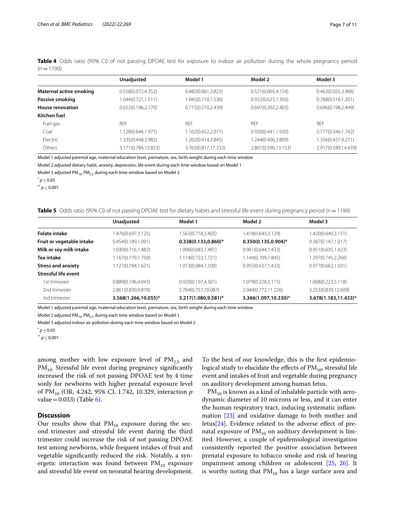<span id="page-6-0"></span>**Table 4** Odds ratio (95% CI) of not passing DPOAE test for exposure to indoor air pollution during the whole pregnancy period  $(n=1190)$ 

|                         | Unadjusted          | Model 1             | Model 2             | Model 3             |
|-------------------------|---------------------|---------------------|---------------------|---------------------|
| Maternal active smoking | 0.558(0.072,4.352)  | 0.482(0.061, 3.823) | 0.521(0.065, 4.154) | 0.463(0.055, 3.906) |
| Passive smoking         | 1.044(0.721,1.511)  | 1.045(0.710,1.536)  | 0.932(0.623,1.393)  | 0.788(0.516, 1.201) |
| House renovation        | 0.652(0.196, 2.170) | 0.715(0.210,2.439)  | 0.697(0.202, 2.403) | 0.696(0.198, 2.449) |
| Kitchen fuel            |                     |                     |                     |                     |
| Fuel gas                | <b>REF</b>          | <b>RFF</b>          | <b>RFF</b>          | <b>RFF</b>          |
| Coal                    | 1.128(0.644,1.975)  | 1.162(0.652,2.071)  | 0.920(0.441, 1.920) | 0.777(0.346,1.742)  |
| Electric                | 1.335(0.448,3.982)  | 1.262(0.414,3.845)  | 1.244(0.406,3.809)  | 1.356(0.437,4.211)  |
| Others                  | 3.171(0.784,12.823) | 3.763(0.817,17.332) | 2.801(0.596,13.153) | 2.917(0.589,14.439) |
|                         |                     |                     |                     |                     |

Model 1 adjusted parental age, maternal education level, premature, sex, birth weight during each time window

Model 2 adjusted dietary habit, anxiety, depression, life event during each time window based on Model 1

Model 3 adjusted PM<sub>10</sub>, PM<sub>2.5</sub> during each time window based on Model 2

 $p$  < 0.05

\*\* *<sup>p</sup>*≤0.001

<span id="page-6-1"></span>**Table 5** Odds ratio (95% CI) of not passing DPOAE test for dietary habits and stressful life event during pregnancy period (n=1190)

|                             | Unadjusted           | Model 1                 | Model 2                 | Model 3              |
|-----------------------------|----------------------|-------------------------|-------------------------|----------------------|
| <b>Folate intake</b>        | 1.476(0.697,3.125)   | .563(0.718,3.405)       | 1.418(0.643,3.129)      | 1.420(0.640,3.151)   |
| Fruit or vegetable intake   | 0.454(0.189, 1.091)  | $0.338(0.133, 0.860)^*$ | $0.350(0.135, 0.904)^*$ | 0.387(0.147, 1.017)  |
| Milk or soy milk intake     | 1.030(0.716,1.482)   | 1.006(0.683,1.481)      | 0.961(0.644, 1.433)     | 0.951(0.635, 1.423)  |
| Tea intake                  | 1.167(0.779,1.750)   | 1.114(0.722,1.721)      | 1.144(0.709,1.845)      | 1.297(0.745,2.260)   |
| <b>Stress and anxiety</b>   | 1.127(0.784,1.621)   | 1.013(0.684,1.500)      | 0.955(0.637,1.433)      | 0.977(0.662,1.501)   |
| <b>Stressful life event</b> |                      |                         |                         |                      |
| 1st trimester               | 0.889(0.196,4.043)   | 0.920(0.197,4.301)      | 1.079(0.228,5.115)      | 1.068(0.223,5.118)   |
| 2nd trimester               | 2.861(0.830,9.870)   | 2.764(0.757,10.087)     | 2.944(0.772,11.226)     | 3.253(0.839,12.609)  |
| 3rd trimester               | 3.568(1.266,10.055)* | 3.217(1.080,9.581)*     | 3.366(1.097,10.330)*    | 3.678(1.183,11.433)* |

Model 1 adjusted parental age, maternal education level, premature, sex, birth weight during each time window

Model 2 adjusted  $PM_{10}$ ,  $PM_{2.5}$  during each time window based on Model 1

Model 3 adjusted indoor air pollution during each time window based on Model 2

 $p^*$  *p*  $\leq$  0.05

\*\* *<sup>p</sup>*≤0.001

among mother with low exposure level of  $PM_{2.5}$  and  $PM_{10}$ . Stressful life event during pregnancy significantly increased the risk of not passing DPOAE test by 4 time sonly for newborns with higher prenatal exposure level of PM10 (OR, 4.242, 95% CI, 1.742, 10.329, interaction *p* value =  $0.033$ ) (Table [6](#page-7-0)).

# **Discussion**

Our results show that  $PM_{10}$  exposure during the second trimester and stressful life event during the third trimester could increase the risk of not passing DPOAE test among newborns, while frequent intakes of fruit and vegetable signifcantly reduced the risk. Notably, a synergetic interaction was found between  $PM_{10}$  exposure and stressful life event on neonatal hearing development.

To the best of our knowledge, this is the frst epidemiological study to elucidate the effects of  $PM_{10}$ , stressful life event and intakes of fruit and vegetable during pregnancy on auditory development among human fetus.

 $PM_{10}$  is known as a kind of inhalable particle with aerodynamic diameter of 10 microns or less, and it can enter the human respiratory tract, inducing systematic infammation [\[23\]](#page-9-22) and oxidative damage to both mother and fetus[[24\]](#page-9-23). Evidence related to the adverse efect of prenatal exposure of  $PM_{10}$  on auditory development is limited. However, a couple of epidemiological investigation consistently reported the positive association between prenatal exposure to tobacco smoke and risk of hearing impairment among children or adolescent [\[25,](#page-9-24) [26\]](#page-9-25). It is worthy noting that  $PM_{10}$  has a large surface area and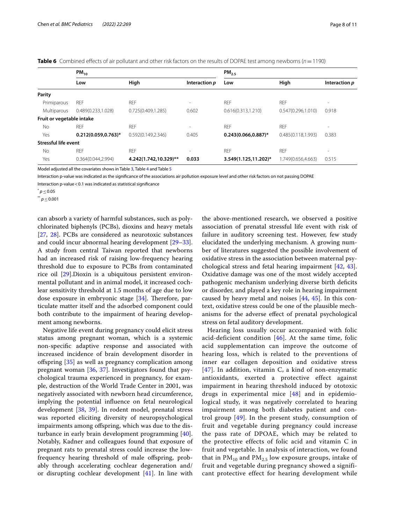<span id="page-7-0"></span>

|  |  |  |  | <b>Table 6</b> Combined effects of air pollutant and other risk factors on the results of DOPAE test among newborns ( $n = 1190$ ) |  |
|--|--|--|--|------------------------------------------------------------------------------------------------------------------------------------|--|
|--|--|--|--|------------------------------------------------------------------------------------------------------------------------------------|--|

|                             | $PM_{10}$               |                       |               | PM <sub>2.5</sub>       |                     |               |
|-----------------------------|-------------------------|-----------------------|---------------|-------------------------|---------------------|---------------|
|                             | Low                     | High                  | Interaction p | Low                     | High                | Interaction p |
| Parity                      |                         |                       |               |                         |                     |               |
| Primiparous                 | REF                     | <b>REF</b>            |               | <b>REF</b>              | <b>REF</b>          | ۰             |
| Multiparous                 | 0.489(0.233,1.028)      | 0.725(0.409, 1.285)   | 0.602         | 0.616(0.313, 1.210)     | 0.547(0.296, 1.010) | 0.918         |
| Fruit or vegetable intake   |                         |                       |               |                         |                     |               |
| No                          | REF                     | <b>REF</b>            |               | <b>REF</b>              | <b>REF</b>          | $\,$          |
| Yes                         | $0.212(0.059, 0.763)^*$ | 0.592(0.149, 2.346)   | 0.405         | $0.243(0.066, 0.887)^*$ | 0.485(0.118, 1.993) | 0.383         |
| <b>Stressful life event</b> |                         |                       |               |                         |                     |               |
| No.                         | <b>REF</b>              | <b>REF</b>            | $\sim$        | <b>REF</b>              | <b>REF</b>          | ۰             |
| Yes                         | 0.364(0.044,2.994)      | 4.242(1.742,10.329)** | 0.033         | 3.549(1.125,11.202)*    | 1.749(0.656,4.663)  | 0.515         |

Model adjusted all the covariates shows in Table [3](#page-5-1), Table [4](#page-6-0) and Table [5](#page-6-1)

Interaction p-value was indicated as the signifcance of the associations air pollution exposure level and other risk factors on not passing DOPAE

Interaction p-value  $<$  0.1 was indicated as statistical significance

 $p^*$   $p \leq 0.05$ 

\*\* *<sup>p</sup>*≤0.001

can absorb a variety of harmful substances, such as polychlorinated biphenyls (PCBs), dioxins and heavy metals [[27,](#page-9-26) [28\]](#page-9-27). PCBs are considered as neurotoxic substances and could incur abnormal hearing development [[29](#page-9-28)[–33](#page-9-29)]. A study from central Taiwan reported that newborns had an increased risk of raising low-frequency hearing threshold due to exposure to PCBs from contaminated rice oil [[29\]](#page-9-28).Dioxin is a ubiquitous persistent environmental pollutant and in animal model, it increased cochlear sensitivity threshold at 1.5 months of age due to low dose exposure in embryonic stage  $[34]$  $[34]$ . Therefore, particulate matter itself and the adsorbed component could both contribute to the impairment of hearing development among newborns.

Negative life event during pregnancy could elicit stress status among pregnant woman, which is a systemic non-specifc adaptive response and associated with increased incidence of brain development disorder in offspring [[35\]](#page-9-31) as well as pregnancy complication among pregnant woman  $[36, 37]$  $[36, 37]$  $[36, 37]$  $[36, 37]$ . Investigators found that psychological trauma experienced in pregnancy, for example, destruction of the World Trade Center in 2001, was negatively associated with newborn head circumference, implying the potential infuence on fetal neurological development [[38](#page-9-34), [39\]](#page-9-35). In rodent model, prenatal stress was reported eliciting diversity of neuropsychological impairments among ofspring, which was due to the disturbance in early brain development programming [\[40](#page-9-36)]. Notably, Kadner and colleagues found that exposure of pregnant rats to prenatal stress could increase the lowfrequency hearing threshold of male ofspring, probably through accelerating cochlear degeneration and/ or disrupting cochlear development [[41\]](#page-9-37). In line with the above-mentioned research, we observed a positive association of prenatal stressful life event with risk of failure in auditory screening test. However, few study elucidated the underlying mechanism. A growing number of literatures suggested the possible involvement of oxidative stress in the association between maternal psychological stress and fetal hearing impairment [\[42](#page-9-38), [43](#page-10-0)]. Oxidative damage was one of the most widely accepted pathogenic mechanism underlying diverse birth defcits or disorder, and played a key role in hearing impairment caused by heavy metal and noises [[44](#page-10-1), [45](#page-10-2)]. In this context, oxidative stress could be one of the plausible mechanisms for the adverse efect of prenatal psychological stress on fetal auditory development.

Hearing loss usually occur accompanied with folic acid-deficient condition [[46](#page-10-3)]. At the same time, folic acid supplementation can improve the outcome of hearing loss, which is related to the preventions of inner ear collagen deposition and oxidative stress  $[47]$  $[47]$  $[47]$ . In addition, vitamin C, a kind of non-enzymatic antioxidants, exerted a protective effect against impairment in hearing threshold induced by ototoxic drugs in experimental mice [[48](#page-10-5)] and in epidemiological study, it was negatively correlated to hearing impairment among both diabetes patient and control group [\[49](#page-10-6)]. In the present study, consumption of fruit and vegetable during pregnancy could increase the pass rate of DPOAE, which may be related to the protective effects of folic acid and vitamin C in fruit and vegetable. In analysis of interaction, we found that in  $PM_{10}$  and  $PM_{2.5}$  low exposure groups, intake of fruit and vegetable during pregnancy showed a significant protective effect for hearing development while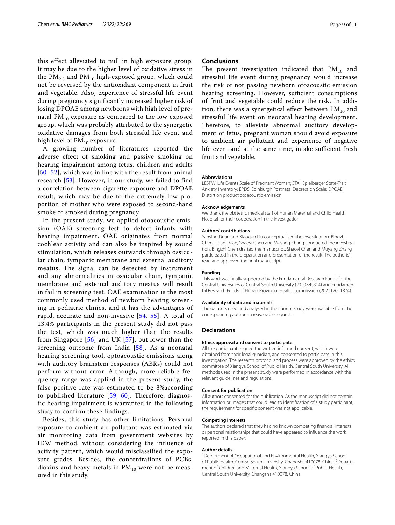this effect alleviated to null in high exposure group. It may be due to the higher level of oxidative stress in the  $PM_{2.5}$  and  $PM_{10}$  high-exposed group, which could not be reversed by the antioxidant component in fruit and vegetable. Also, experience of stressful life event during pregnancy significantly increased higher risk of losing DPOAE among newborns with high level of prenatal  $PM_{10}$  exposure as compared to the low exposed group, which was probably attributed to the synergetic oxidative damages from both stressful life event and high level of  $PM_{10}$  exposure.

A growing number of literatures reported the adverse effect of smoking and passive smoking on hearing impairment among fetus, children and adults [[50](#page-10-7)[–52\]](#page-10-8), which was in line with the result from animal research [\[53\]](#page-10-9). However, in our study, we failed to find a correlation between cigarette exposure and DPOAE result, which may be due to the extremely low proportion of mother who were exposed to second-hand smoke or smoked during pregnancy.

In the present study, we applied otoacoustic emission (OAE) screening test to detect infants with hearing impairment. OAE originates from normal cochlear activity and can also be inspired by sound stimulation, which releases outwards through ossicular chain, tympanic membrane and external auditory meatus. The signal can be detected by instrument and any abnormalities in ossicular chain, tympanic membrane and external auditory meatus will result in fail in screening test. OAE examination is the most commonly used method of newborn hearing screening in pediatric clinics, and it has the advantages of rapid, accurate and non-invasive  $[54, 55]$  $[54, 55]$  $[54, 55]$  $[54, 55]$  $[54, 55]$ . A total of 13.4% participants in the present study did not pass the test, which was much higher than the results from Singapore [\[56\]](#page-10-12) and UK [[57](#page-10-13)], but lower than the screening outcome from India  $[58]$  $[58]$  $[58]$ . As a neonatal hearing screening tool, optoacoustic emissions along with auditory brainstem responses (ABRs) could not perform without error. Although, more reliable frequency range was applied in the present study, the false positive rate was estimated to be 8%according to published literature [[59,](#page-10-15) [60\]](#page-10-16). Therefore, diagnostic hearing impairment is warranted in the following study to confirm these findings.

Besides, this study has other limitations. Personal exposure to ambient air pollutant was estimated via air monitoring data from government websites by IDW method, without considering the influence of activity pattern, which would misclassified the exposure grades. Besides, the concentrations of PCBs, dioxins and heavy metals in  $PM_{10}$  were not be measured in this study.

# **Conclusions**

The present investigation indicated that  $PM_{10}$  and stressful life event during pregnancy would increase the risk of not passing newborn otoacoustic emission hearing screening. However, sufficient consumptions of fruit and vegetable could reduce the risk. In addition, there was a synergetical effect between  $PM_{10}$  and stressful life event on neonatal hearing development. Therefore, to alleviate abnormal auditory development of fetus, pregnant woman should avoid exposure to ambient air pollutant and experience of negative life event and at the same time, intake sufficient fresh fruit and vegetable.

#### **Abbreviations**

LESPW: Life Events Scale of Pregnant Woman; STAI: Spielberger State-Trait Anxiety Inventory; EPDS: Edinburgh Postnatal Depression Scale; DPOAE: Distortion product otoacoustic emission.

#### **Acknowledgements**

We thank the obstetric medical staff of Hunan Maternal and Child Health Hospital for their cooperation in the investigation.

#### **Authors' contributions**

Yanying Duan and Xiaoqun Liu conceptualized the investigation. Bingzhi Chen, Lidan Duan, Shaoyi Chen and Muyang Zhang conducted the investigation. Bingzhi Chen drafted the manuscript. Shaoyi Chen and Muyang Zhang participated in the preparation and presentation of the result. The author(s) read and approved the fnal manuscript.

## **Funding**

This work was fnally supported by the Fundamental Research Funds for the Central Universities of Central South University (2020zzts814) and Fundamental Research Funds of Hunan Provincial Health Commission (202112011874).

#### **Availability of data and materials**

The datasets used and analysed in the current study were available from the corresponding author on reasonable request.

#### **Declarations**

#### **Ethics approval and consent to participate**

All the participants signed the written informed consent, which were obtained from their legal guardian, and consented to participate in this investigation. The research protocol and process were approved by the ethics committee of Xiangya School of Public Health, Central South University. All methods used in the present study were performed in accordance with the relevant guidelines and regulations.

# **Consent for publication**

All authors consented for the publication. As the manuscript did not contain information or images that could lead to identifcation of a study participant, the requirement for specifc consent was not applicable.

#### **Competing interests**

The authors declared that they had no known competing fnancial interests or personal relationships that could have appeared to infuence the work reported in this paper.

#### **Author details**

<sup>1</sup> Department of Occupational and Environmental Health, Xiangya School of Public Health, Central South University, Changsha 410078, China. <sup>2</sup> Department of Children and Maternal Health, Xiangya School of Public Health, Central South University, Changsha 410078, China.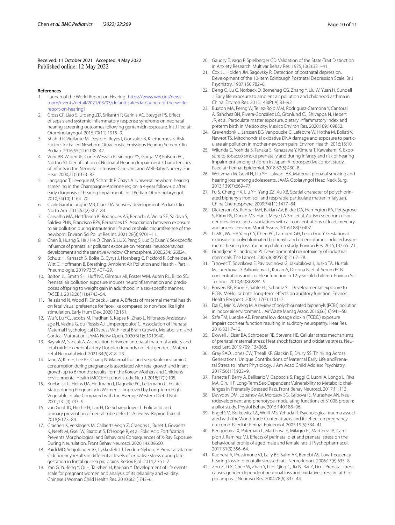Received: 11 October 2021 Accepted: 4 May 2022 Published online: 12 May 2022

#### **References**

- <span id="page-9-0"></span>Launch of the World Report on Hearing [[https://www.who.int/news](https://www.who.int/news-room/events/detail/2021/03/03/default-calendar/launch-of-the-world-report-on-hearing)[room/events/detail/2021/03/03/default-calendar/launch-of-the-world](https://www.who.int/news-room/events/detail/2021/03/03/default-calendar/launch-of-the-world-report-on-hearing)[report-on-hearing\]](https://www.who.int/news-room/events/detail/2021/03/03/default-calendar/launch-of-the-world-report-on-hearing)
- <span id="page-9-1"></span>2. Cross CP, Liao S, Urdang ZD, Srikanth P, Garinis AC, Steyger PS. Efect of sepsis and systemic infammatory response syndrome on neonatal hearing screening outcomes following gentamicin exposure. Int J Pediatr Otorhinolaryngol. 2015;79(11):1915–9.
- <span id="page-9-2"></span>3. Shahid R, Vigilante M, Deyro H, Reyes I, Gonzalez B, Kliethermes S. Risk Factors for Failed Newborn Otoacoustic Emissions Hearing Screen. Clin Pediatr. 2016;55(12):1138–42.
- <span id="page-9-3"></span>4. Vohr BR, Widen JE, Cone-Wesson B, Sininger YS, Gorga MP, Folsom RC, Norton SJ. Identifcation of Neonatal Hearing Impairment: Characteristics of Infants in the Neonatal Intensive Care Unit and Well-Baby Nursery. Ear Hear. 2000;21(5):373–82.
- <span id="page-9-4"></span>5. Langagne T, Leveque M, Schmidt P, Chays A. Universal newborn hearing screening in the Champagne-Ardenne region: a 4-year follow-up after early diagnosis of hearing impairment. Int J Pediatr Otorhinolaryngol. 2010;74(10):1164–70.
- <span id="page-9-5"></span>6. Clark-Gambelunghe MB, Clark DA. Sensory development. Pediatr Clin North Am. 2015;62(2):367–84.
- <span id="page-9-6"></span>7. Carvalho MA, Hettfeisch K, Rodrigues AS, Benachi A, Vieira SE, Saldiva S, Saldiva PHN, Francisco RPV, Bernardes LS. Association between exposure to air pollution during intrauterine life and cephalic circumference of the newborn. Environ Sci Pollut Res Int. 2021;28(8):9701–11.
- <span id="page-9-7"></span>8. Chen B, Huang S, He J, He Q, Chen S, Liu X, Peng S, Luo D, Duan Y. Sex-specifc infuence of prenatal air pollutant exposure on neonatal neurobehavioral development and the sensitive window. Chemosphere. 2020;254:126824.
- <span id="page-9-8"></span>9. Schulz H, Karrasch S, Bolke G, Cyrys J, Hornberg C, Pickford R, Schneider A, Witt C, Hofmann B. Breathing: Ambient Air Pollution and Health - Part III. Pneumologie. 2019;73(7):407–29.
- <span id="page-9-9"></span>10. Bolton JL, Smith SH, Huff NC, Gilmour MI, Foster WM, Auten RL, Bilbo SD. Prenatal air pollution exposure induces neuroinfammation and predisposes offspring to weight gain in adulthood in a sex-specific manner. FASEB J. 2012;26(11):4743–54.
- <span id="page-9-10"></span>11. Reissland N, Wood R, Einbeck J, Lane A. Efects of maternal mental health on fetal visual preference for face-like compared to non-face like light stimulation. Early Hum Dev. 2020;12:151.
- <span id="page-9-11"></span>12. Wu Y, Lu YC, Jacobs M, Pradhan S, Kapse K, Zhao L, Niforatos-Andescavage N, Vezina G, du Plessis AJ, Limperopoulos C. Association of Prenatal Maternal Psychological Distress With Fetal Brain Growth, Metabolism, and Cortical Maturation. JAMA Netw Open. 2020;3(1):e1919940.
- <span id="page-9-12"></span>13. Bayrak M, Sancak A. Association between antenatal maternal anxiety and fetal middle cerebral artery Doppler depends on fetal gender. J Matern Fetal Neonatal Med. 2021;34(5):818–23.
- <span id="page-9-13"></span>14. Jang W, Kim H, Lee BE, Chang N. Maternal fruit and vegetable or vitamin C consumption during pregnancy is associated with fetal growth and infant growth up to 6 months: results from the Korean Mothers and Children's Environmental Health (MOCEH) cohort study. Nutr J. 2018;17(1):105.
- <span id="page-9-14"></span>15. Koebnick C, Heins UA, Hofmann I, Dagnelie PC, Leitzmann C. Folate Status during Pregnancy in Women Is Improved by Long-term High Vegetable Intake Compared with the Average Western Diet. J Nutr. 2001;131(3):733–9.
- <span id="page-9-15"></span>16. van Gool JD, Hirche H, Lax H, De Schaepdrijver L. Folic acid and primary prevention of neural tube defects: A review. Reprod Toxicol. 2018;80:73–84.
- <span id="page-9-16"></span>17. Craenen K, Verslegers M, Callaerts-Vegh Z, Craeghs L, Buset J, Govaerts K, Neefs M, Gsell W, Baatout S, D'Hooge R, et al. Folic Acid Fortifcation Prevents Morphological and Behavioral Consequences of X-Ray Exposure During Neurulation. Front Behav Neurosci. 2020;14:609660.
- <span id="page-9-17"></span>18. Paidi MD, Schjoldager JG, Lykkesfeldt J, Tveden-Nyborg P. Prenatal vitamin C defciency results in diferential levels of oxidative stress during late gestation in foetal guinea pig brains. Redox Biol. 2014;2:361–7.
- <span id="page-9-18"></span>19. Yan G, Yu-feng Y, Qi H, Tai-zhen H, Kai-nan Y. Development of life events scale for pregnant women and analysis of its reliability and validity. Chinese J Woman Child Health Res. 2010;6(21):743–6.
- <span id="page-9-19"></span>20. Gaudry E, Vagg P, Spielberger CD. Validation of the State-Trait Distinction in Anxiety Research. Multivar Behav Res. 1975;10(3):331–41.
- <span id="page-9-20"></span>21. Cox JL, Holden JM, Sagovsky R. Detection of postnatal depression. Development of the 10-item Edinburgh Postnatal Depression Scale. Br J Psychiatry. 1987;150:782–6.
- <span id="page-9-21"></span>22. Deng Q, Lu C, Norback D, Bornehag CG, Zhang Y, Liu W, Yuan H, Sundell J. Early life exposure to ambient air pollution and childhood asthma in China. Environ Res. 2015;143(Pt A):83–92.
- <span id="page-9-22"></span>23. Buxton MA, Perng W, Tellez-Rojo MM, Rodriguez-Carmona Y, Cantoral A, Sanchez BN, Rivera-Gonzalez LO, Gronlund CJ, Shivappa N, Hebert JR, et al. Particulate matter exposure, dietary infammatory index and preterm birth in Mexico city. Mexico Environ Res. 2020;189:109852.
- <span id="page-9-23"></span>24. Grevendonk L, Janssen BG, Vanpoucke C, Lefebvre W, Hoxha M, Bollati V, Nawrot TS. Mitochondrial oxidative DNA damage and exposure to particulate air pollution in mother-newborn pairs. Environ Health. 2016;15:10.
- <span id="page-9-24"></span>25. Wilunda C, Yoshida S, Tanaka S, Kanazawa Y, Kimura T, Kawakami K. Exposure to tobacco smoke prenatally and during infancy and risk of hearing impairment among children in Japan: A retrospective cohort study. Paediatr Perinat Epidemiol. 2018;32(5):430–8.
- <span id="page-9-25"></span>26. Weitzman M, Govil N, Liu YH, Lalwani AK. Maternal prenatal smoking and hearing loss among adolescents. JAMA Otolaryngol Head Neck Surg. 2013;139(7):669–77.
- <span id="page-9-26"></span>27. Fu S, Cheng HX, Liu YH, Yang ZZ, Xu XB. Spatial character of polychlorinated biphenyls from soil and respirable particulate matter in Taiyuan. China Chemosphere. 2009;74(11):1477–84.
- <span id="page-9-27"></span>28. Dickerson AS, Rahbar MH, Bakian AV, Bilder DA, Harrington RA, Pettygrove S, Kirby RS, Durkin MS, Han I, Moye LA 3rd, et al. Autism spectrum disorder prevalence and associations with air concentrations of lead, mercury, and arsenic. Environ Monit Assess. 2016;188(7):407.
- <span id="page-9-28"></span>29. Li MC, Wu HP, Yang CY, Chen PC, Lambert GH, Leon Guo Y. Gestational exposure to polychlorinated biphenyls and dibenzofurans induced asymmetric hearing loss: Yucheng children study. Environ Res. 2015;137:65–71.
- 30. Grandjean P, Landrigan PJ. Developmental neurotoxicity of industrial chemicals. The Lancet. 2006;368(9553):2167–78.
- 31. Trnovec T, Sovcikova E, Pavlovcinova G, Jakubikova J, Jusko TA, Hustak M, Jureckova D, Palkovicova L, Kocan A, Drobna B, et al. Serum PCB concentrations and cochlear function in 12-year-old children. Environ Sci Technol. 2010;44(8):2884–9.
- 32. Powers BE, Poon E, Sable HJ, Schantz SL. Developmental exposure to PCBs, MeHg, or both: long-term efects on auditory function. Environ Health Perspect. 2009;117(7):1101–7.
- <span id="page-9-29"></span>33. Dai Q, Min X, Weng M. A review of polychlorinated biphenyls (PCBs) pollution in indoor air environment. J Air Waste Manag Assoc. 2016;66(10):941–50.
- <span id="page-9-30"></span>34. Safe TM, Luebke AE. Prenatal low dosage dioxin (TCDD) exposure impairs cochlear function resulting in auditory neuropathy. Hear Res. 2016;331:7–12.
- <span id="page-9-31"></span>35. Dowell J, Elser BA, Schroeder RE, Stevens HE. Cellular stress mechanisms of prenatal maternal stress: Heat shock factors and oxidative stress. Neurosci Lett. 2019;709: 134368.
- <span id="page-9-32"></span>36. Gray SAO, Jones CW, Theall KP, Glackin E, Drury SS. Thinking Across Generations: Unique Contributions of Maternal Early Life andPrenatal Stress to Infant Physiology. J Am Acad Child Adolesc Psychiatry. 2017;56(11):922–9.
- <span id="page-9-33"></span>37. Panetta P, Berry A, Bellisario V, Capoccia S, Raggi C, Luoni A, Longo L, Riva MA, Cirulli F. Long-Term Sex-Dependent Vulnerability to Metabolic challenges in Prenatally Stressed Rats. Front Behav Neurosci. 2017;11:113.
- <span id="page-9-34"></span>38. Davydov DM, Lobanov AV, Morozov SG, Gribova IE, Murashev AN. Neurodevelopment and phenotype-modulating functions of S100B protein: a pilot study. Physiol Behav. 2015;140:188–96.
- <span id="page-9-35"></span>39. Engel SM, Berkowitz GS, Wolff MS, Yehuda R. Psychological trauma associated with the World Trade Center attacks and its effect on pregnancy outcome. Paediatr Perinat Epidemiol. 2005;19(5):334–41.
- <span id="page-9-36"></span>40. Bengoetxea X, Paternain L, Martisova E, Milagro FI, Martinez JA, Campion J, Ramirez MJ. Efects of perinatal diet and prenatal stress on the behavioural profle of aged male and female rats. J Psychopharmacol. 2017;31(3):356–64.
- <span id="page-9-37"></span>41. Kadnera A, Pressimone VJ, Lally BE, Salm AK, Berrebi AS. Low-frequency hearing loss in prenatally stressed rats. NeuroReport. 2006;17(6):635–8.
- <span id="page-9-38"></span>42. Zhu Z, Li X, Chen W, Zhao Y, Li H, Qing C, Jia N, Bai Z, Liu J. Prenatal stress causes gender-dependent neuronal loss and oxidative stress in rat hippocampus. J Neurosci Res. 2004;78(6):837–44.